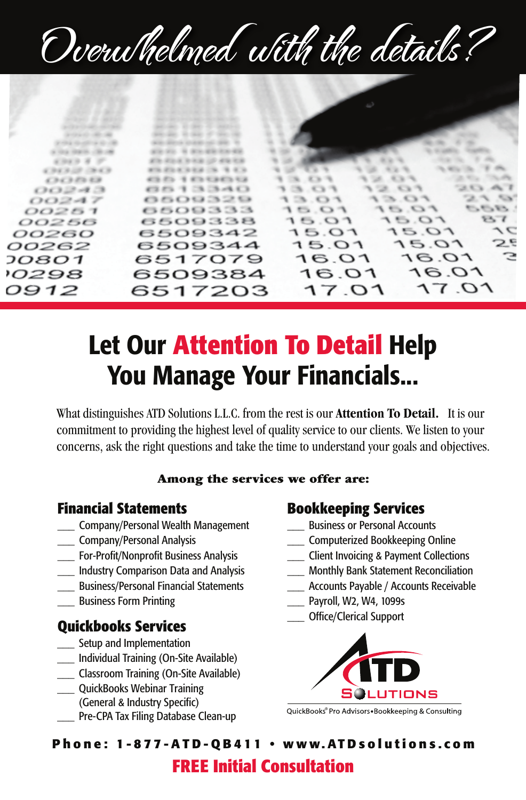# Overwhelmed with the details?



# Let Our **Attention To Detail** Help You Manage Your Financials...

What distinguishes ATD Solutions L.L.C. from the rest is our **Attention To Detail.** It is our commitment to providing the highest level of quality service to our clients. We listen to your concerns, ask the right questions and take the time to understand your goals and objectives.

#### Among the services we offer are:

### **Financial Statements**

- \_\_\_ Company/Personal Wealth Management
- \_\_\_ Company/Personal Analysis
- For-Profit/Nonprofit Business Analysis
- \_\_\_ Industry Comparison Data and Analysis
- \_\_\_ Business/Personal Financial Statements
- \_\_\_ Business Form Printing

#### **Quickbooks Services**

- Setup and Implementation
- \_\_\_ Individual Training (On-Site Available)
- \_\_\_ Classroom Training (On-Site Available)
- \_\_\_ QuickBooks Webinar Training (General & Industry Specific)
- Pre-CPA Tax Filing Database Clean-up

### **Bookkeeping Services**

- \_\_\_ Business or Personal Accounts
- \_\_\_ Computerized Bookkeeping Online
- \_\_\_ Client Invoicing & Payment Collections
- \_\_\_ Monthly Bank Statement Reconciliation
- Accounts Payable / Accounts Receivable
- Payroll, W2, W4, 1099s
- \_\_\_ Office/Clerical Support



QuickBooks® Pro Advisors. Bookkeeping & Consulting

**P h o n e : 1-877-ATD-QB411 • w w w. AT D s o l u t i o ns. c o m**

# **FREE Initial Consultation**